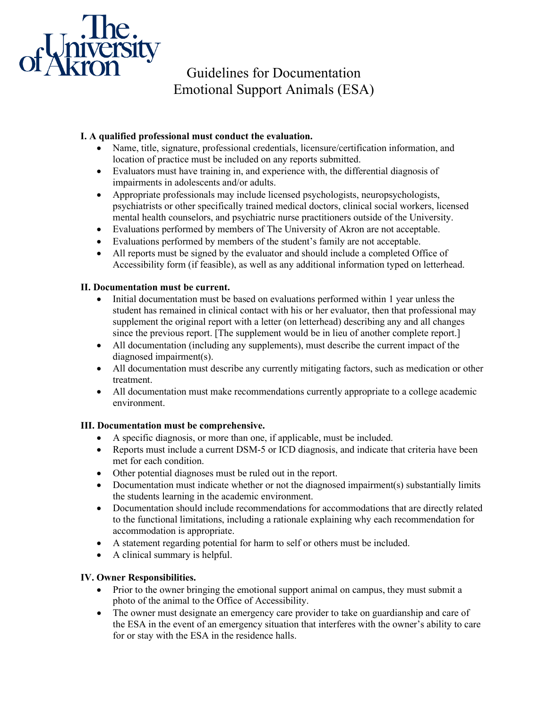

## Guidelines for Documentation Emotional Support Animals (ESA)

## **I. A qualified professional must conduct the evaluation.**

- Name, title, signature, professional credentials, licensure/certification information, and location of practice must be included on any reports submitted.
- Evaluators must have training in, and experience with, the differential diagnosis of impairments in adolescents and/or adults.
- Appropriate professionals may include licensed psychologists, neuropsychologists, psychiatrists or other specifically trained medical doctors, clinical social workers, licensed mental health counselors, and psychiatric nurse practitioners outside of the University.
- Evaluations performed by members of The University of Akron are not acceptable.
- Evaluations performed by members of the student's family are not acceptable.
- All reports must be signed by the evaluator and should include a completed Office of Accessibility form (if feasible), as well as any additional information typed on letterhead.

### **II. Documentation must be current.**

- Initial documentation must be based on evaluations performed within 1 year unless the student has remained in clinical contact with his or her evaluator, then that professional may supplement the original report with a letter (on letterhead) describing any and all changes since the previous report. [The supplement would be in lieu of another complete report.]
- All documentation (including any supplements), must describe the current impact of the diagnosed impairment(s).
- All documentation must describe any currently mitigating factors, such as medication or other treatment.
- All documentation must make recommendations currently appropriate to a college academic environment.

#### **III. Documentation must be comprehensive.**

- A specific diagnosis, or more than one, if applicable, must be included.
- Reports must include a current DSM-5 or ICD diagnosis, and indicate that criteria have been met for each condition.
- Other potential diagnoses must be ruled out in the report.
- Documentation must indicate whether or not the diagnosed impairment(s) substantially limits the students learning in the academic environment.
- Documentation should include recommendations for accommodations that are directly related to the functional limitations, including a rationale explaining why each recommendation for accommodation is appropriate.
- A statement regarding potential for harm to self or others must be included.
- A clinical summary is helpful.

#### **IV. Owner Responsibilities.**

- Prior to the owner bringing the emotional support animal on campus, they must submit a photo of the animal to the Office of Accessibility.
- The owner must designate an emergency care provider to take on guardianship and care of the ESA in the event of an emergency situation that interferes with the owner's ability to care for or stay with the ESA in the residence halls.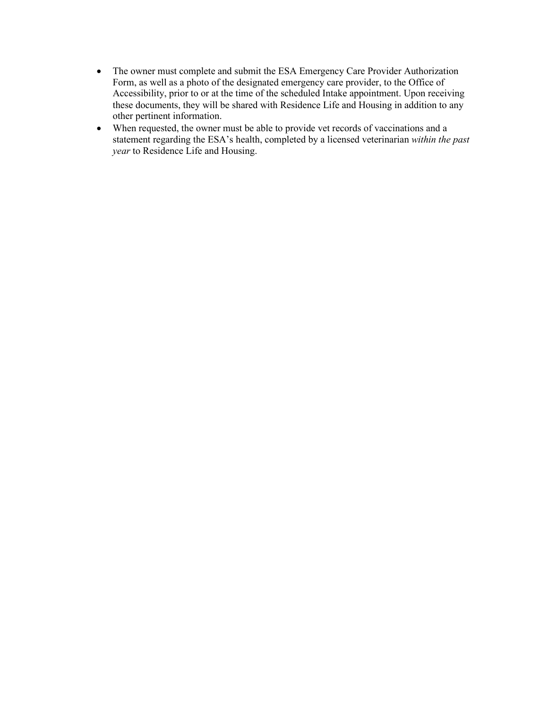- The owner must complete and submit the ESA Emergency Care Provider Authorization Form, as well as a photo of the designated emergency care provider, to the Office of Accessibility, prior to or at the time of the scheduled Intake appointment. Upon receiving these documents, they will be shared with Residence Life and Housing in addition to any other pertinent information.
- When requested, the owner must be able to provide vet records of vaccinations and a statement regarding the ESA's health, completed by a licensed veterinarian *within the past year* to Residence Life and Housing.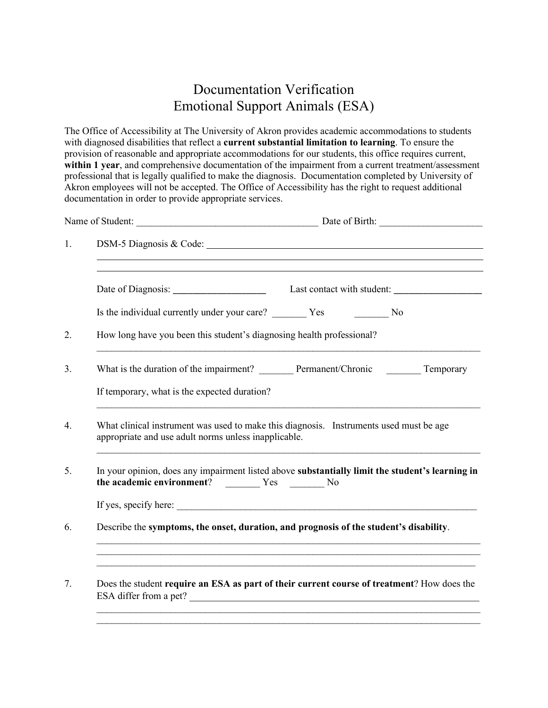# Documentation Verification Emotional Support Animals (ESA)

The Office of Accessibility at The University of Akron provides academic accommodations to students with diagnosed disabilities that reflect a **current substantial limitation to learning**. To ensure the provision of reasonable and appropriate accommodations for our students, this office requires current, **within 1 year**, and comprehensive documentation of the impairment from a current treatment/assessment professional that is legally qualified to make the diagnosis. Documentation completed by University of Akron employees will not be accepted. The Office of Accessibility has the right to request additional documentation in order to provide appropriate services.

| 1. | DSM-5 Diagnosis & Code:                                                                                                                                                     |  |  |  |  |
|----|-----------------------------------------------------------------------------------------------------------------------------------------------------------------------------|--|--|--|--|
|    |                                                                                                                                                                             |  |  |  |  |
|    | Is the individual currently under your care? __________ Yes _____________ No                                                                                                |  |  |  |  |
| 2. | How long have you been this student's diagnosing health professional?                                                                                                       |  |  |  |  |
| 3. | What is the duration of the impairment? _________ Permanent/Chronic __________ Temporary                                                                                    |  |  |  |  |
|    | If temporary, what is the expected duration?                                                                                                                                |  |  |  |  |
| 4. | What clinical instrument was used to make this diagnosis. Instruments used must be age<br>appropriate and use adult norms unless inapplicable.                              |  |  |  |  |
| 5. | In your opinion, does any impairment listed above substantially limit the student's learning in                                                                             |  |  |  |  |
|    | If yes, specify here:                                                                                                                                                       |  |  |  |  |
| 6. | Describe the symptoms, the onset, duration, and prognosis of the student's disability.<br>,我们也不能在这里的人,我们也不能在这里的人,我们也不能在这里的人,我们也不能在这里的人,我们也不能在这里的人,我们也不能在这里的人,我们也不能在这里的人,我们也 |  |  |  |  |
| 7. | Does the student require an ESA as part of their current course of treatment? How does the                                                                                  |  |  |  |  |

 $\mathcal{L}_\text{max}$  and  $\mathcal{L}_\text{max}$  and  $\mathcal{L}_\text{max}$  and  $\mathcal{L}_\text{max}$  and  $\mathcal{L}_\text{max}$  and  $\mathcal{L}_\text{max}$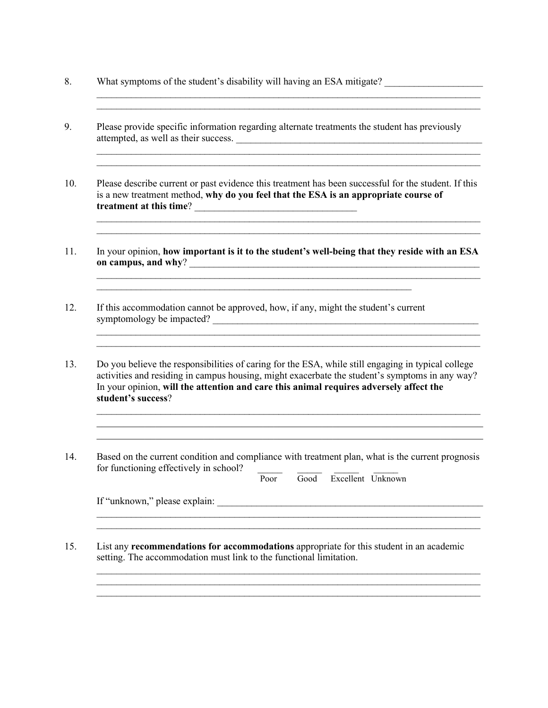- 8. What symptoms of the student's disability will having an ESA mitigate?
- 9. Please provide specific information regarding alternate treatments the student has previously attempted, as well as their success. \_\_\_\_\_\_\_\_\_\_\_\_\_\_\_\_\_\_\_\_\_\_\_\_\_\_\_\_\_\_\_\_\_\_\_\_\_\_\_\_\_\_\_\_\_\_\_\_\_\_

 $\_$  , and the set of the set of the set of the set of the set of the set of the set of the set of the set of the set of the set of the set of the set of the set of the set of the set of the set of the set of the set of th \_\_\_\_\_\_\_\_\_\_\_\_\_\_\_\_\_\_\_\_\_\_\_\_\_\_\_\_\_\_\_\_\_\_\_\_\_\_\_\_\_\_\_\_\_\_\_\_\_\_\_\_\_\_\_\_\_\_\_\_\_\_\_\_\_\_\_\_\_\_\_\_\_\_\_\_\_\_

 $\_$  , and the set of the set of the set of the set of the set of the set of the set of the set of the set of the set of the set of the set of the set of the set of the set of the set of the set of the set of the set of th

\_\_\_\_\_\_\_\_\_\_\_\_\_\_\_\_\_\_\_\_\_\_\_\_\_\_\_\_\_\_\_\_\_\_\_\_\_\_\_\_\_\_\_\_\_\_\_\_\_\_\_\_\_\_\_\_\_\_\_\_\_\_\_\_\_\_\_\_\_\_\_\_\_\_\_\_\_\_

 $\mathcal{L}_\text{max}$ 

- 10. Please describe current or past evidence this treatment has been successful for the student. If this is a new treatment method, **why do you feel that the ESA is an appropriate course of treatment at this time**? \_\_\_\_\_\_\_\_\_\_\_\_\_\_\_\_\_\_\_\_\_\_\_\_\_\_\_\_\_\_\_\_\_  $\mathcal{L}_\text{max}$  and  $\mathcal{L}_\text{max}$  and  $\mathcal{L}_\text{max}$  and  $\mathcal{L}_\text{max}$  and  $\mathcal{L}_\text{max}$  and  $\mathcal{L}_\text{max}$
- 11. In your opinion, **how important is it to the student's well-being that they reside with an ESA on campus, and why? and in the set of the set of the set of the set of the set of the set of the set of the set of the set of the set of the set of the set of the set of the set of the set of the set of the set of the s**
- 12. If this accommodation cannot be approved, how, if any, might the student's current symptomology be impacted? \_\_\_\_\_\_\_\_\_\_\_\_\_\_\_\_\_\_\_\_\_\_\_\_\_\_\_\_\_\_\_\_\_\_\_\_\_\_\_\_\_\_\_\_\_\_\_\_\_\_\_\_\_\_

 $\_$  , and the set of the set of the set of the set of the set of the set of the set of the set of the set of the set of the set of the set of the set of the set of the set of the set of the set of the set of the set of th

13. Do you believe the responsibilities of caring for the ESA, while still engaging in typical college activities and residing in campus housing, might exacerbate the student's symptoms in any way? In your opinion, **will the attention and care this animal requires adversely affect the student's success**?

 $\_$  , and the set of the set of the set of the set of the set of the set of the set of the set of the set of the set of the set of the set of the set of the set of the set of the set of the set of the set of the set of th

 $\mathcal{L}_\text{G}$  , and the contribution of the contribution of the contribution of the contribution of the contribution of the contribution of the contribution of the contribution of the contribution of the contribution of t

\_\_\_\_\_\_\_\_\_\_\_\_\_\_\_\_\_\_\_\_\_\_\_\_\_\_\_\_\_\_\_\_\_\_\_\_\_\_\_\_\_\_\_\_\_\_\_\_\_\_\_\_\_\_\_\_\_\_\_\_\_\_\_\_\_\_\_\_\_\_\_\_\_\_\_\_\_\_

 $\_$  , and the contribution of the contribution of the contribution of the contribution of  $\mathcal{L}_\text{max}$ 

 $\_$  , and the contribution of the contribution of the contribution of the contribution of  $\mathcal{L}_\text{max}$ 

 $\mathcal{L}_\mathcal{L} = \mathcal{L}_\mathcal{L} = \mathcal{L}_\mathcal{L} = \mathcal{L}_\mathcal{L} = \mathcal{L}_\mathcal{L} = \mathcal{L}_\mathcal{L} = \mathcal{L}_\mathcal{L} = \mathcal{L}_\mathcal{L} = \mathcal{L}_\mathcal{L} = \mathcal{L}_\mathcal{L} = \mathcal{L}_\mathcal{L} = \mathcal{L}_\mathcal{L} = \mathcal{L}_\mathcal{L} = \mathcal{L}_\mathcal{L} = \mathcal{L}_\mathcal{L} = \mathcal{L}_\mathcal{L} = \mathcal{L}_\mathcal{L}$ 

14. Based on the current condition and compliance with treatment plan, what is the current prognosis for functioning effectively in school? \_\_\_\_\_ \_\_\_\_\_ \_\_\_\_\_ \_\_\_\_\_

| Poor | Good | Excellent Unknown |  |
|------|------|-------------------|--|
|      |      |                   |  |

If "unknown," please explain:  $\qquad \qquad \qquad$ 

15. List any **recommendations for accommodations** appropriate for this student in an academic setting. The accommodation must link to the functional limitation.